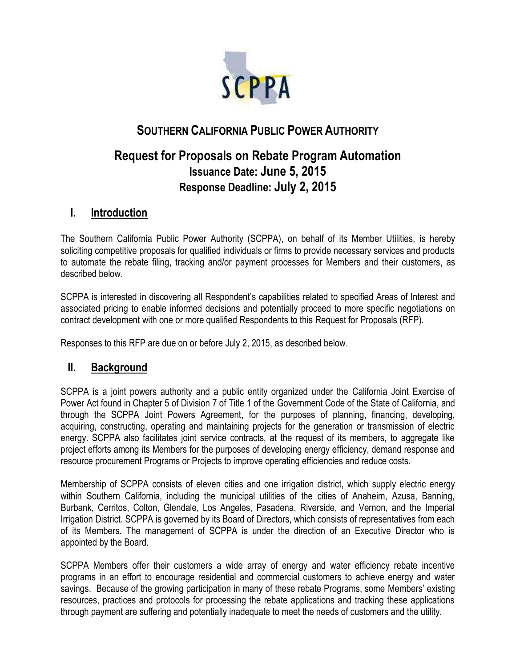

# **SOUTHERN CALIFORNIA PUBLIC POWER AUTHORITY**

# **Request for Proposals on Rebate Program Automation Issuance Date: June 5, 2015 Response Deadline: July 2, 2015**

# **I. Introduction**

The Southern California Public Power Authority (SCPPA), on behalf of its Member Utilities, is hereby soliciting competitive proposals for qualified individuals or firms to provide necessary services and products to automate the rebate filing, tracking and/or payment processes for Members and their customers, as described below.

SCPPA is interested in discovering all Respondent's capabilities related to specified Areas of Interest and associated pricing to enable informed decisions and potentially proceed to more specific negotiations on contract development with one or more qualified Respondents to this Request for Proposals (RFP).

Responses to this RFP are due on or before July 2, 2015, as described below.

## **II. Background**

SCPPA is a joint powers authority and a public entity organized under the California Joint Exercise of Power Act found in Chapter 5 of Division 7 of Title 1 of the Government Code of the State of California, and through the SCPPA Joint Powers Agreement, for the purposes of planning, financing, developing, acquiring, constructing, operating and maintaining projects for the generation or transmission of electric energy. SCPPA also facilitates joint service contracts, at the request of its members, to aggregate like project efforts among its Members for the purposes of developing energy efficiency, demand response and resource procurement Programs or Projects to improve operating efficiencies and reduce costs.

Membership of SCPPA consists of eleven cities and one irrigation district, which supply electric energy within Southern California, including the municipal utilities of the cities of Anaheim, Azusa, Banning, Burbank, Cerritos, Colton, Glendale, Los Angeles, Pasadena, Riverside, and Vernon, and the Imperial Irrigation District. SCPPA is governed by its Board of Directors, which consists of representatives from each of its Members. The management of SCPPA is under the direction of an Executive Director who is appointed by the Board.

SCPPA Members offer their customers a wide array of energy and water efficiency rebate incentive programs in an effort to encourage residential and commercial customers to achieve energy and water savings. Because of the growing participation in many of these rebate Programs, some Members' existing resources, practices and protocols for processing the rebate applications and tracking these applications through payment are suffering and potentially inadequate to meet the needs of customers and the utility.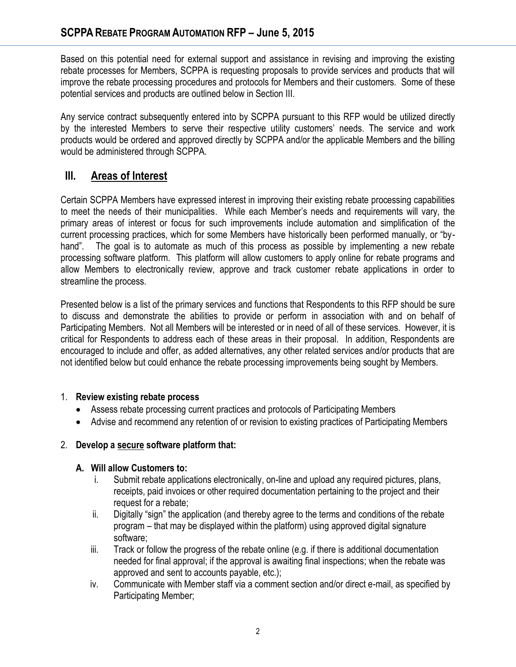Based on this potential need for external support and assistance in revising and improving the existing rebate processes for Members, SCPPA is requesting proposals to provide services and products that will improve the rebate processing procedures and protocols for Members and their customers. Some of these potential services and products are outlined below in Section III.

Any service contract subsequently entered into by SCPPA pursuant to this RFP would be utilized directly by the interested Members to serve their respective utility customers' needs. The service and work products would be ordered and approved directly by SCPPA and/or the applicable Members and the billing would be administered through SCPPA.

# **III. Areas of Interest**

Certain SCPPA Members have expressed interest in improving their existing rebate processing capabilities to meet the needs of their municipalities. While each Member's needs and requirements will vary, the primary areas of interest or focus for such improvements include automation and simplification of the current processing practices, which for some Members have historically been performed manually, or "byhand". The goal is to automate as much of this process as possible by implementing a new rebate processing software platform. This platform will allow customers to apply online for rebate programs and allow Members to electronically review, approve and track customer rebate applications in order to streamline the process.

Presented below is a list of the primary services and functions that Respondents to this RFP should be sure to discuss and demonstrate the abilities to provide or perform in association with and on behalf of Participating Members. Not all Members will be interested or in need of all of these services. However, it is critical for Respondents to address each of these areas in their proposal. In addition, Respondents are encouraged to include and offer, as added alternatives, any other related services and/or products that are not identified below but could enhance the rebate processing improvements being sought by Members.

#### 1. **Review existing rebate process**

- Assess rebate processing current practices and protocols of Participating Members
- Advise and recommend any retention of or revision to existing practices of Participating Members

#### 2. **Develop a secure software platform that:**

#### **A. Will allow Customers to:**

- i. Submit rebate applications electronically, on-line and upload any required pictures, plans, receipts, paid invoices or other required documentation pertaining to the project and their request for a rebate;
- ii. Digitally "sign" the application (and thereby agree to the terms and conditions of the rebate program – that may be displayed within the platform) using approved digital signature software;
- iii. Track or follow the progress of the rebate online (e.g. if there is additional documentation needed for final approval; if the approval is awaiting final inspections; when the rebate was approved and sent to accounts payable, etc.);
- iv. Communicate with Member staff via a comment section and/or direct e-mail, as specified by Participating Member;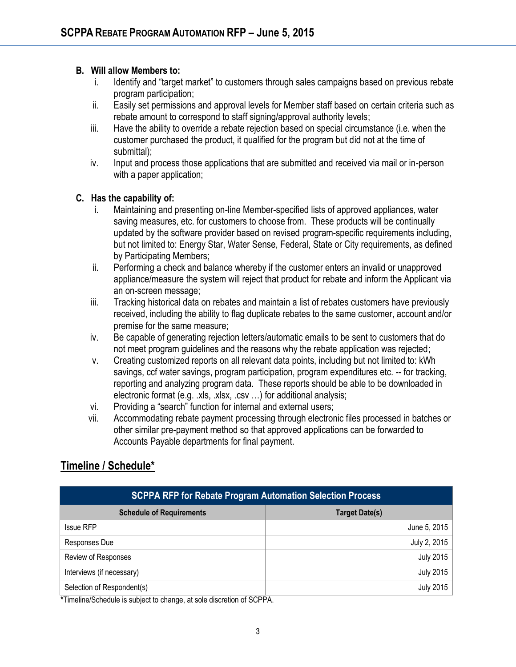#### **B. Will allow Members to:**

- i. Identify and "target market" to customers through sales campaigns based on previous rebate program participation;
- ii. Easily set permissions and approval levels for Member staff based on certain criteria such as rebate amount to correspond to staff signing/approval authority levels;
- iii. Have the ability to override a rebate rejection based on special circumstance (i.e. when the customer purchased the product, it qualified for the program but did not at the time of submittal);
- iv. Input and process those applications that are submitted and received via mail or in-person with a paper application;

#### **C. Has the capability of:**

- i. Maintaining and presenting on-line Member-specified lists of approved appliances, water saving measures, etc. for customers to choose from. These products will be continually updated by the software provider based on revised program-specific requirements including, but not limited to: Energy Star, Water Sense, Federal, State or City requirements, as defined by Participating Members;
- ii. Performing a check and balance whereby if the customer enters an invalid or unapproved appliance/measure the system will reject that product for rebate and inform the Applicant via an on-screen message;
- iii. Tracking historical data on rebates and maintain a list of rebates customers have previously received, including the ability to flag duplicate rebates to the same customer, account and/or premise for the same measure;
- iv. Be capable of generating rejection letters/automatic emails to be sent to customers that do not meet program guidelines and the reasons why the rebate application was rejected;
- v. Creating customized reports on all relevant data points, including but not limited to: kWh savings, ccf water savings, program participation, program expenditures etc. -- for tracking, reporting and analyzing program data. These reports should be able to be downloaded in electronic format (e.g. .xls, .xlsx, .csv …) for additional analysis;
- vi. Providing a "search" function for internal and external users;
- vii. Accommodating rebate payment processing through electronic files processed in batches or other similar pre-payment method so that approved applications can be forwarded to Accounts Payable departments for final payment.

## **Timeline / Schedule\***

| <b>SCPPA RFP for Rebate Program Automation Selection Process</b> |                       |
|------------------------------------------------------------------|-----------------------|
| <b>Schedule of Requirements</b>                                  | <b>Target Date(s)</b> |
| <b>Issue RFP</b>                                                 | June 5, 2015          |
| Responses Due                                                    | July 2, 2015          |
| Review of Responses                                              | <b>July 2015</b>      |
| Interviews (if necessary)                                        | <b>July 2015</b>      |
| Selection of Respondent(s)                                       | <b>July 2015</b>      |

**\***Timeline/Schedule is subject to change, at sole discretion of SCPPA.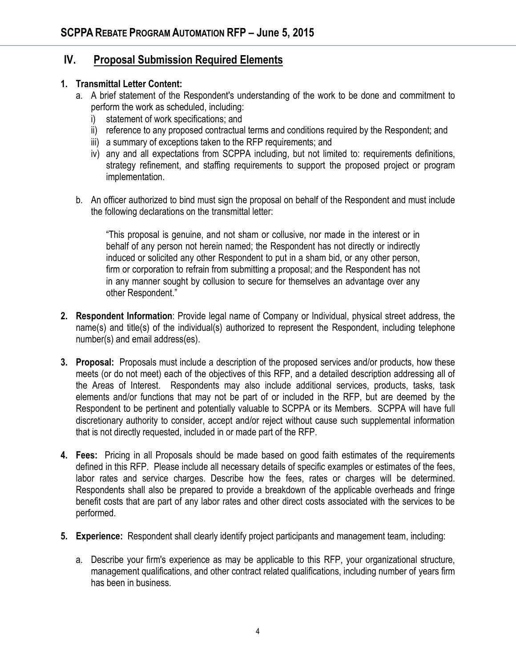# **IV. Proposal Submission Required Elements**

#### **1. Transmittal Letter Content:**

- a. A brief statement of the Respondent's understanding of the work to be done and commitment to perform the work as scheduled, including:
	- i) statement of work specifications; and
	- ii) reference to any proposed contractual terms and conditions required by the Respondent; and
	- iii) a summary of exceptions taken to the RFP requirements; and
	- iv) any and all expectations from SCPPA including, but not limited to: requirements definitions, strategy refinement, and staffing requirements to support the proposed project or program implementation.
- b. An officer authorized to bind must sign the proposal on behalf of the Respondent and must include the following declarations on the transmittal letter:

"This proposal is genuine, and not sham or collusive, nor made in the interest or in behalf of any person not herein named; the Respondent has not directly or indirectly induced or solicited any other Respondent to put in a sham bid, or any other person, firm or corporation to refrain from submitting a proposal; and the Respondent has not in any manner sought by collusion to secure for themselves an advantage over any other Respondent."

- **2. Respondent Information**: Provide legal name of Company or Individual, physical street address, the name(s) and title(s) of the individual(s) authorized to represent the Respondent, including telephone number(s) and email address(es).
- **3. Proposal:** Proposals must include a description of the proposed services and/or products, how these meets (or do not meet) each of the objectives of this RFP, and a detailed description addressing all of the Areas of Interest. Respondents may also include additional services, products, tasks, task elements and/or functions that may not be part of or included in the RFP, but are deemed by the Respondent to be pertinent and potentially valuable to SCPPA or its Members. SCPPA will have full discretionary authority to consider, accept and/or reject without cause such supplemental information that is not directly requested, included in or made part of the RFP.
- **4. Fees:** Pricing in all Proposals should be made based on good faith estimates of the requirements defined in this RFP. Please include all necessary details of specific examples or estimates of the fees, labor rates and service charges. Describe how the fees, rates or charges will be determined. Respondents shall also be prepared to provide a breakdown of the applicable overheads and fringe benefit costs that are part of any labor rates and other direct costs associated with the services to be performed.
- **5. Experience:** Respondent shall clearly identify project participants and management team, including:
	- a. Describe your firm's experience as may be applicable to this RFP, your organizational structure, management qualifications, and other contract related qualifications, including number of years firm has been in business.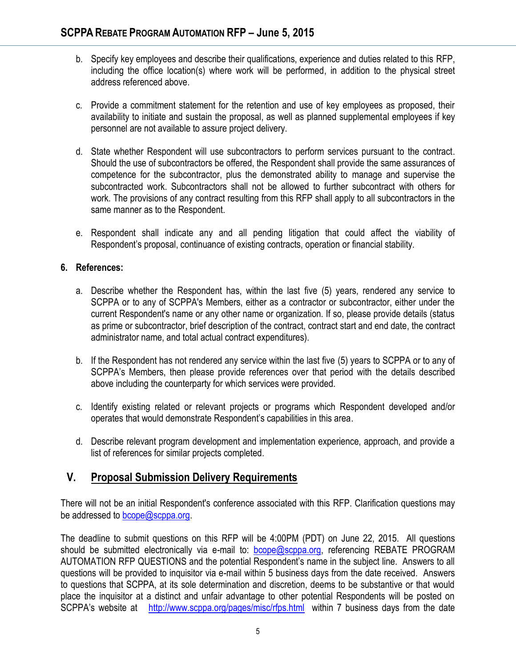- b. Specify key employees and describe their qualifications, experience and duties related to this RFP, including the office location(s) where work will be performed, in addition to the physical street address referenced above.
- c. Provide a commitment statement for the retention and use of key employees as proposed, their availability to initiate and sustain the proposal, as well as planned supplemental employees if key personnel are not available to assure project delivery.
- d. State whether Respondent will use subcontractors to perform services pursuant to the contract. Should the use of subcontractors be offered, the Respondent shall provide the same assurances of competence for the subcontractor, plus the demonstrated ability to manage and supervise the subcontracted work. Subcontractors shall not be allowed to further subcontract with others for work. The provisions of any contract resulting from this RFP shall apply to all subcontractors in the same manner as to the Respondent.
- e. Respondent shall indicate any and all pending litigation that could affect the viability of Respondent's proposal, continuance of existing contracts, operation or financial stability.

#### **6. References:**

- a. Describe whether the Respondent has, within the last five (5) years, rendered any service to SCPPA or to any of SCPPA's Members, either as a contractor or subcontractor, either under the current Respondent's name or any other name or organization. If so, please provide details (status as prime or subcontractor, brief description of the contract, contract start and end date, the contract administrator name, and total actual contract expenditures).
- b. If the Respondent has not rendered any service within the last five (5) years to SCPPA or to any of SCPPA's Members, then please provide references over that period with the details described above including the counterparty for which services were provided.
- c. Identify existing related or relevant projects or programs which Respondent developed and/or operates that would demonstrate Respondent's capabilities in this area.
- d. Describe relevant program development and implementation experience, approach, and provide a list of references for similar projects completed.

## **V. Proposal Submission Delivery Requirements**

There will not be an initial Respondent's conference associated with this RFP. Clarification questions may be addressed to [bcope@scppa.org.](mailto:bcope@scppa.org)

The deadline to submit questions on this RFP will be 4:00PM (PDT) on June 22, 2015. All questions should be submitted electronically via e-mail to: **bcope@scppa.org**, referencing REBATE PROGRAM AUTOMATION RFP QUESTIONS and the potential Respondent's name in the subject line. Answers to all questions will be provided to inquisitor via e-mail within 5 business days from the date received. Answers to questions that SCPPA, at its sole determination and discretion, deems to be substantive or that would place the inquisitor at a distinct and unfair advantage to other potential Respondents will be posted on SCPPA's website at <http://www.scppa.org/pages/misc/rfps.html>within 7 business days from the date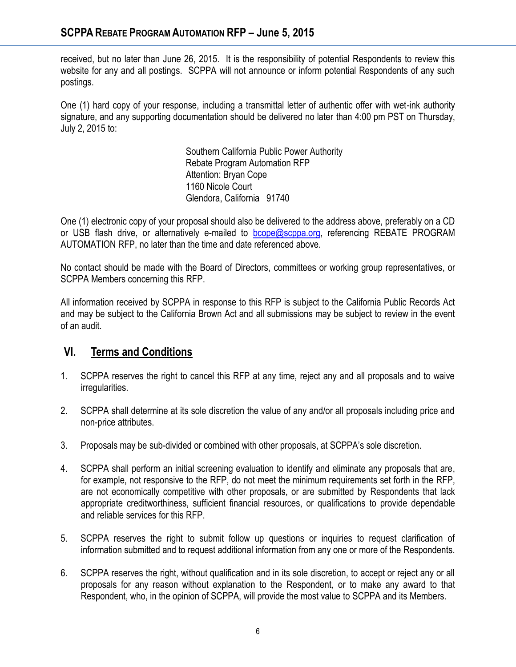received, but no later than June 26, 2015. It is the responsibility of potential Respondents to review this website for any and all postings. SCPPA will not announce or inform potential Respondents of any such postings.

One (1) hard copy of your response, including a transmittal letter of authentic offer with wet-ink authority signature, and any supporting documentation should be delivered no later than 4:00 pm PST on Thursday, July 2, 2015 to:

> Southern California Public Power Authority Rebate Program Automation RFP Attention: Bryan Cope 1160 Nicole Court Glendora, California 91740

One (1) electronic copy of your proposal should also be delivered to the address above, preferably on a CD or USB flash drive, or alternatively e-mailed to [bcope@scppa.org,](file://app-server/data/RFPs_RFQs_RFIs/Public%20Benefits%20Committee/Paperless%20Rebate%20Automation/RFP/bcope@scppa.org) referencing REBATE PROGRAM AUTOMATION RFP, no later than the time and date referenced above.

No contact should be made with the Board of Directors, committees or working group representatives, or SCPPA Members concerning this RFP.

All information received by SCPPA in response to this RFP is subject to the California Public Records Act and may be subject to the California Brown Act and all submissions may be subject to review in the event of an audit.

# **VI. Terms and Conditions**

- 1. SCPPA reserves the right to cancel this RFP at any time, reject any and all proposals and to waive irregularities.
- 2. SCPPA shall determine at its sole discretion the value of any and/or all proposals including price and non-price attributes.
- 3. Proposals may be sub-divided or combined with other proposals, at SCPPA's sole discretion.
- 4. SCPPA shall perform an initial screening evaluation to identify and eliminate any proposals that are, for example, not responsive to the RFP, do not meet the minimum requirements set forth in the RFP, are not economically competitive with other proposals, or are submitted by Respondents that lack appropriate creditworthiness, sufficient financial resources, or qualifications to provide dependable and reliable services for this RFP.
- 5. SCPPA reserves the right to submit follow up questions or inquiries to request clarification of information submitted and to request additional information from any one or more of the Respondents.
- 6. SCPPA reserves the right, without qualification and in its sole discretion, to accept or reject any or all proposals for any reason without explanation to the Respondent, or to make any award to that Respondent, who, in the opinion of SCPPA, will provide the most value to SCPPA and its Members.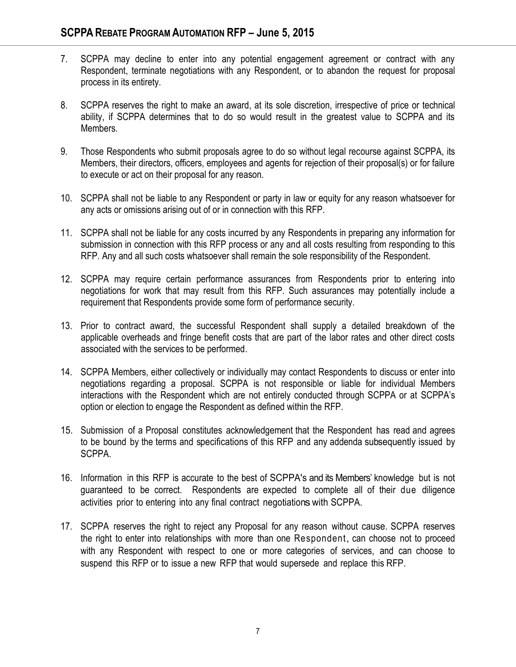- 7. SCPPA may decline to enter into any potential engagement agreement or contract with any Respondent, terminate negotiations with any Respondent, or to abandon the request for proposal process in its entirety.
- 8. SCPPA reserves the right to make an award, at its sole discretion, irrespective of price or technical ability, if SCPPA determines that to do so would result in the greatest value to SCPPA and its Members.
- 9. Those Respondents who submit proposals agree to do so without legal recourse against SCPPA, its Members, their directors, officers, employees and agents for rejection of their proposal(s) or for failure to execute or act on their proposal for any reason.
- 10. SCPPA shall not be liable to any Respondent or party in law or equity for any reason whatsoever for any acts or omissions arising out of or in connection with this RFP.
- 11. SCPPA shall not be liable for any costs incurred by any Respondents in preparing any information for submission in connection with this RFP process or any and all costs resulting from responding to this RFP. Any and all such costs whatsoever shall remain the sole responsibility of the Respondent.
- 12. SCPPA may require certain performance assurances from Respondents prior to entering into negotiations for work that may result from this RFP. Such assurances may potentially include a requirement that Respondents provide some form of performance security.
- 13. Prior to contract award, the successful Respondent shall supply a detailed breakdown of the applicable overheads and fringe benefit costs that are part of the labor rates and other direct costs associated with the services to be performed.
- 14. SCPPA Members, either collectively or individually may contact Respondents to discuss or enter into negotiations regarding a proposal. SCPPA is not responsible or liable for individual Members interactions with the Respondent which are not entirely conducted through SCPPA or at SCPPA's option or election to engage the Respondent as defined within the RFP.
- 15. Submission of a Proposal constitutes acknowledgement that the Respondent has read and agrees to be bound by the terms and specifications of this RFP and any addenda subsequently issued by SCPPA.
- 16. Information in this RFP is accurate to the best of SCPPA's and its Members' knowledge but is not guaranteed to be correct. Respondents are expected to complete all of their due diligence activities prior to entering into any final contract negotiationswith SCPPA.
- 17. SCPPA reserves the right to reject any Proposal for any reason without cause. SCPPA reserves the right to enter into relationships with more than one Respondent, can choose not to proceed with any Respondent with respect to one or more categories of services, and can choose to suspend this RFP or to issue a new RFP that would supersede and replace this RFP.